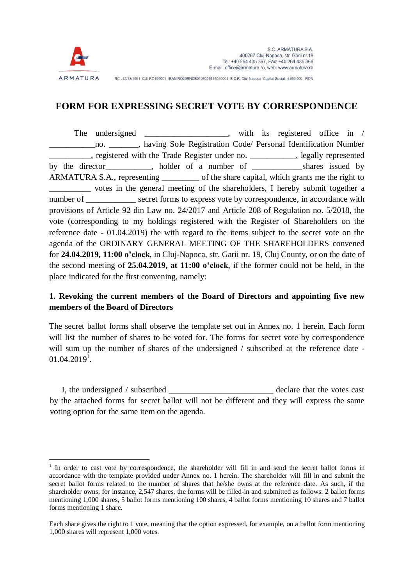

 $\overline{a}$ 

RC J12/13/1991 CUI RO199001 IBAN RO29RNCB0106026615010001 B.C.R. Cluj-Napoca Capital Social: 4.000.000 RON

## **FORM FOR EXPRESSING SECRET VOTE BY CORRESPONDENCE**

The undersigned with its registered office in / \_\_\_\_\_\_\_\_\_\_\_no. \_\_\_\_\_\_\_, having Sole Registration Code/ Personal Identification Number \_\_\_\_\_\_\_\_\_\_, registered with the Trade Register under no. \_\_\_\_\_\_\_\_\_\_\_, legally represented by the director by the director by holder of a number of  $\Box$  shares issued by ARMATURA S.A., representing \_\_\_\_\_\_\_\_\_ of the share capital, which grants me the right to votes in the general meeting of the shareholders, I hereby submit together a number of \_\_\_\_\_\_\_\_\_\_\_\_ secret forms to express vote by correspondence, in accordance with provisions of Article 92 din Law no. 24/2017 and Article 208 of Regulation no. 5/2018, the vote (corresponding to my holdings registered with the Register of Shareholders on the reference date - 01.04.2019) the with regard to the items subject to the secret vote on the agenda of the ORDINARY GENERAL MEETING OF THE SHAREHOLDERS convened for **24.04.2019, 11:00 o'clock**, in Cluj-Napoca, str. Garii nr. 19, Cluj County, or on the date of the second meeting of **25.04.2019, at 11:00 o'clock**, if the former could not be held, in the place indicated for the first convening, namely:

## **1. Revoking the current members of the Board of Directors and appointing five new members of the Board of Directors**

The secret ballot forms shall observe the template set out in Annex no. 1 herein. Each form will list the number of shares to be voted for. The forms for secret vote by correspondence will sum up the number of shares of the undersigned / subscribed at the reference date - $01.04.2019<sup>1</sup>$ .

I, the undersigned / subscribed \_\_\_\_\_\_\_\_\_\_\_\_\_\_\_\_\_\_\_\_\_\_\_\_\_ declare that the votes cast by the attached forms for secret ballot will not be different and they will express the same voting option for the same item on the agenda.

<sup>&</sup>lt;sup>1</sup> In order to cast vote by correspondence, the shareholder will fill in and send the secret ballot forms in accordance with the template provided under Annex no. 1 herein. The shareholder will fill in and submit the secret ballot forms related to the number of shares that he/she owns at the reference date. As such, if the shareholder owns, for instance, 2,547 shares, the forms will be filled-in and submitted as follows: 2 ballot forms mentioning 1,000 shares, 5 ballot forms mentioning 100 shares, 4 ballot forms mentioning 10 shares and 7 ballot forms mentioning 1 share.

Each share gives the right to 1 vote, meaning that the option expressed, for example, on a ballot form mentioning 1,000 shares will represent 1,000 votes.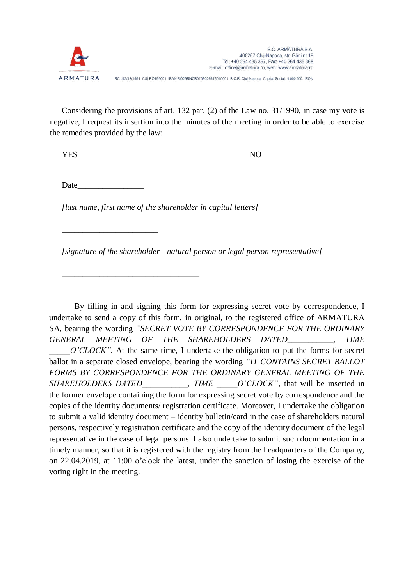

RC J12/13/1991 CUI RO199001 IBAN RO29RNCB0106026615010001 B.C.R. Cluj-Napoca Capital Social: 4.000.000 RON

Considering the provisions of art. 132 par. (2) of the Law no. 31/1990, in case my vote is negative, I request its insertion into the minutes of the meeting in order to be able to exercise the remedies provided by the law:

YES NO

Date  $\Box$ 

\_\_\_\_\_\_\_\_\_\_\_\_\_\_\_\_\_\_\_\_\_\_\_

\_\_\_\_\_\_\_\_\_\_\_\_\_\_\_\_\_\_\_\_\_\_\_\_\_\_\_\_\_\_\_\_\_

*[last name, first name of the shareholder in capital letters]*

*[signature of the shareholder - natural person or legal person representative]*

By filling in and signing this form for expressing secret vote by correspondence, I undertake to send a copy of this form, in original, to the registered office of ARMATURA SA, bearing the wording *"SECRET VOTE BY CORRESPONDENCE FOR THE ORDINARY GENERAL MEETING OF THE SHAREHOLDERS DATED\_\_\_\_\_\_\_\_\_\_\_, TIME O'CLOCK"*. At the same time, I undertake the obligation to put the forms for secret ballot in a separate closed envelope, bearing the wording *"IT CONTAINS SECRET BALLOT FORMS BY CORRESPONDENCE FOR THE ORDINARY GENERAL MEETING OF THE SHAREHOLDERS DATED* FIME O'CLOCK", that will be inserted in the former envelope containing the form for expressing secret vote by correspondence and the copies of the identity documents/ registration certificate. Moreover, I undertake the obligation to submit a valid identity document – identity bulletin/card in the case of shareholders natural persons, respectively registration certificate and the copy of the identity document of the legal representative in the case of legal persons. I also undertake to submit such documentation in a timely manner, so that it is registered with the registry from the headquarters of the Company, on 22.04.2019, at 11:00 o'clock the latest, under the sanction of losing the exercise of the voting right in the meeting.